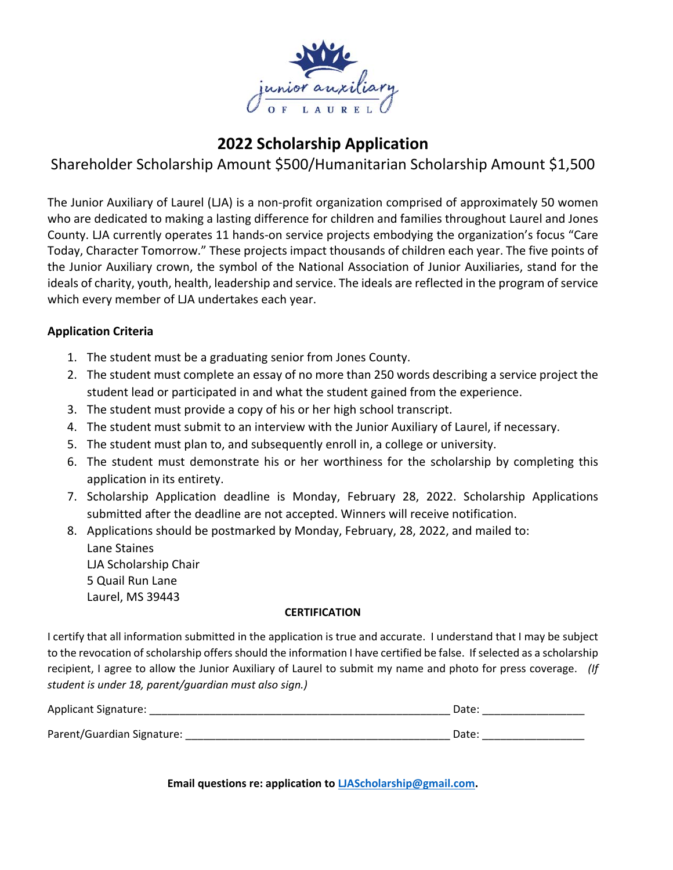

# **2022 Scholarship Application**

## Shareholder Scholarship Amount \$500/Humanitarian Scholarship Amount \$1,500

The Junior Auxiliary of Laurel (LJA) is a non‐profit organization comprised of approximately 50 women who are dedicated to making a lasting difference for children and families throughout Laurel and Jones County. LJA currently operates 11 hands‐on service projects embodying the organization's focus "Care Today, Character Tomorrow." These projects impact thousands of children each year. The five points of the Junior Auxiliary crown, the symbol of the National Association of Junior Auxiliaries, stand for the ideals of charity, youth, health, leadership and service. The ideals are reflected in the program of service which every member of LJA undertakes each year.

### **Application Criteria**

- 1. The student must be a graduating senior from Jones County.
- 2. The student must complete an essay of no more than 250 words describing a service project the student lead or participated in and what the student gained from the experience.
- 3. The student must provide a copy of his or her high school transcript.
- 4. The student must submit to an interview with the Junior Auxiliary of Laurel, if necessary.
- 5. The student must plan to, and subsequently enroll in, a college or university.
- 6. The student must demonstrate his or her worthiness for the scholarship by completing this application in its entirety.
- 7. Scholarship Application deadline is Monday, February 28, 2022. Scholarship Applications submitted after the deadline are not accepted. Winners will receive notification.
- 8. Applications should be postmarked by Monday, February, 28, 2022, and mailed to: Lane Staines LJA Scholarship Chair 5 Quail Run Lane Laurel, MS 39443

### **CERTIFICATION**

I certify that all information submitted in the application is true and accurate. I understand that I may be subject to the revocation of scholarship offers should the information I have certified be false. If selected as a scholarship recipient, I agree to allow the Junior Auxiliary of Laurel to submit my name and photo for press coverage. *(If student is under 18, parent/guardian must also sign.)*

| Applicant Signature:       | Date: |  |
|----------------------------|-------|--|
| Parent/Guardian Signature: | Date: |  |

**Email questions re: application to LJAScholarship@gmail.com.**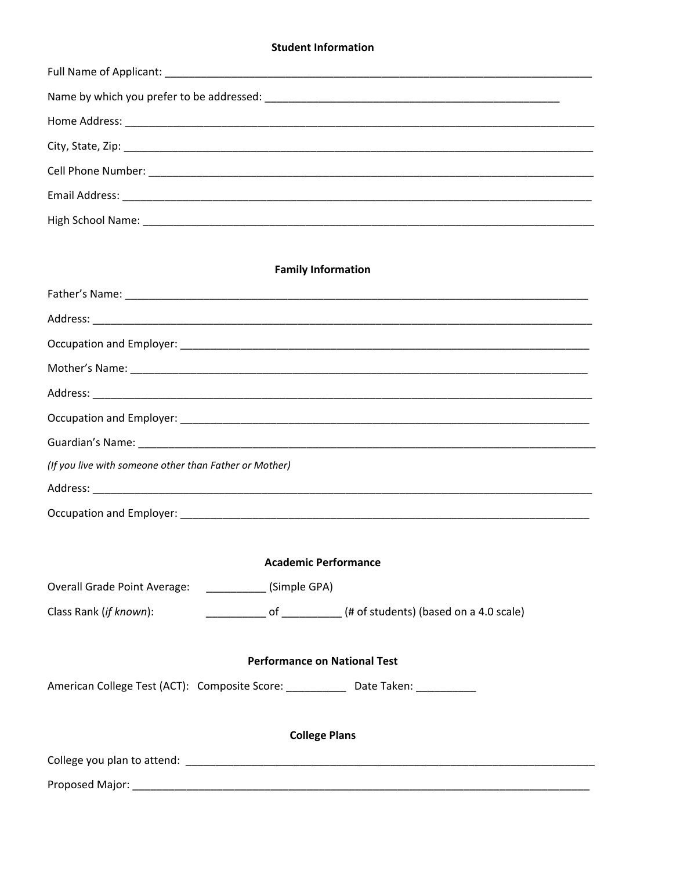#### **Student Information**

#### **Family Information**

| (If you live with someone other than Father or Mother) |  |  |
|--------------------------------------------------------|--|--|
|                                                        |  |  |
|                                                        |  |  |
|                                                        |  |  |

#### **Academic Performance**

Overall Grade Point Average: \_\_\_\_\_\_\_\_\_\_\_ (Simple GPA)

#### **Performance on National Test**

American College Test (ACT): Composite Score: \_\_\_\_\_\_\_\_\_\_\_\_ Date Taken: \_\_\_\_\_\_\_\_\_\_

#### **College Plans**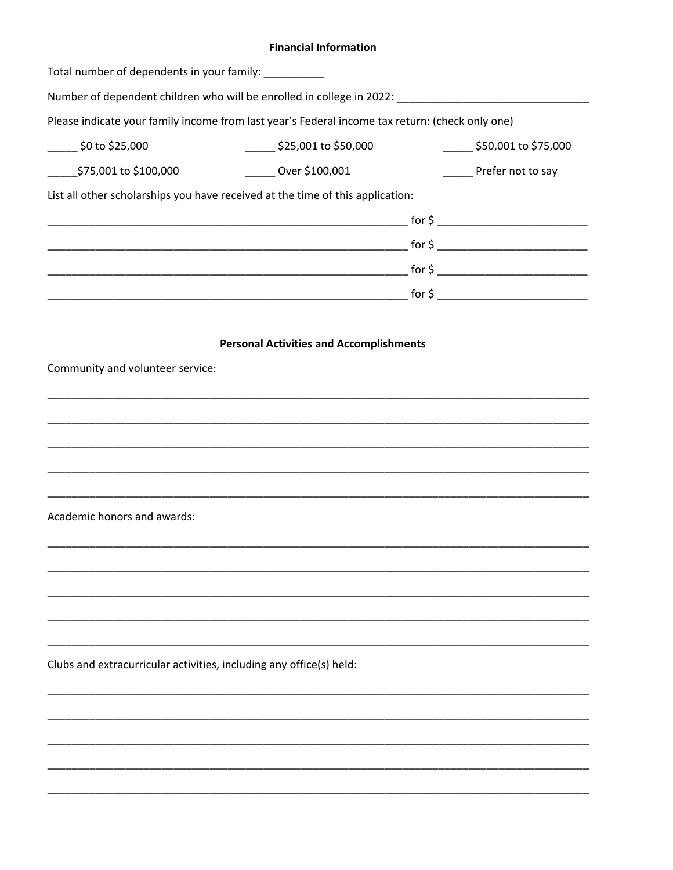#### **Financial Information**

| Total number of dependents in your family: __________               |                                                                                                     |                                    |
|---------------------------------------------------------------------|-----------------------------------------------------------------------------------------------------|------------------------------------|
|                                                                     | Number of dependent children who will be enrolled in college in 2022: _____________________________ |                                    |
|                                                                     | Please indicate your family income from last year's Federal income tax return: (check only one)     |                                    |
| $\frac{1}{2}$ \$0 to \$25,000                                       | $\frac{1}{2}$ \$25,001 to \$50,000                                                                  | $\frac{1}{2}$ \$50,001 to \$75,000 |
| ______\$75,001 to \$100,000                                         | Over \$100,001                                                                                      | Prefer not to say                  |
|                                                                     | List all other scholarships you have received at the time of this application:                      |                                    |
|                                                                     |                                                                                                     |                                    |
|                                                                     |                                                                                                     |                                    |
|                                                                     |                                                                                                     |                                    |
|                                                                     |                                                                                                     |                                    |
|                                                                     |                                                                                                     |                                    |
|                                                                     | <b>Personal Activities and Accomplishments</b>                                                      |                                    |
| Community and volunteer service:                                    |                                                                                                     |                                    |
|                                                                     |                                                                                                     |                                    |
|                                                                     |                                                                                                     |                                    |
|                                                                     |                                                                                                     |                                    |
|                                                                     |                                                                                                     |                                    |
|                                                                     |                                                                                                     |                                    |
| Academic honors and awards:                                         |                                                                                                     |                                    |
|                                                                     |                                                                                                     |                                    |
|                                                                     |                                                                                                     |                                    |
|                                                                     |                                                                                                     |                                    |
|                                                                     |                                                                                                     |                                    |
|                                                                     |                                                                                                     |                                    |
| Clubs and extracurricular activities, including any office(s) held: |                                                                                                     |                                    |
|                                                                     |                                                                                                     |                                    |
|                                                                     |                                                                                                     |                                    |
|                                                                     |                                                                                                     |                                    |
|                                                                     |                                                                                                     |                                    |